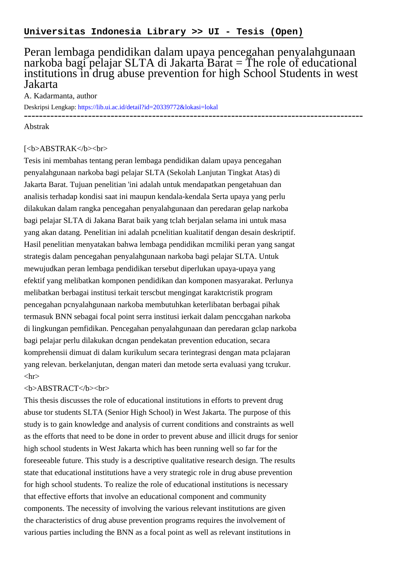## Peran lembaga pendidikan dalam upaya pencegahan penyalahgunaan narkoba bagi pelajar SLTA di Jakarta Barat = The role of educational institutions in drug abuse prevention for high School Students in west Jakarta

A. Kadarmanta, author

Deskripsi Lengkap:<https://lib.ui.ac.id/detail?id=20339772&lokasi=lokal>

------------------------------------------------------------------------------------------

Abstrak

## [<b>ABSTRAK</b><br/>shr>

Tesis ini membahas tentang peran lembaga pendidikan dalam upaya pencegahan penyalahgunaan narkoba bagi pelajar SLTA (Sekolah Lanjutan Tingkat Atas) di Jakarta Barat. Tujuan penelitian 'ini adalah untuk mendapatkan pengetahuan dan analisis terhadap kondisi saat ini maupun kendala-kendala Serta upaya yang perlu dilakukan dalam rangka pencegahan penyalahgunaan dan peredaran gelap narkoba bagi pelajar SLTA di Jakana Barat baik yang tclah berjalan selama ini untuk masa yang akan datang. Penelitian ini adalah pcnelitian kualitatif dengan desain deskriptif. Hasil penelitian menyatakan bahwa lembaga pendidikan mcmiliki peran yang sangat strategis dalam pencegahan penyalahgunaan narkoba bagi pelajar SLTA. Untuk mewujudkan peran lembaga pendidikan tersebut diperlukan upaya-upaya yang efektif yang melibatkan komponen pendidikan dan komponen masyarakat. Perlunya melibatkan berbagai institusi terkait terscbut mengingat karaktcristik program pencegahan pcnyalahgunaan narkoba membutuhkan keterlibatan berbagai pihak termasuk BNN sebagai focal point serra institusi ierkait dalam penccgahan narkoba di lingkungan pemfidikan. Pencegahan penyalahgunaan dan peredaran gclap narkoba bagi pelajar perlu dilakukan dcngan pendekatan prevention education, secara komprehensii dimuat di dalam kurikulum secara terintegrasi dengan mata pclajaran yang relevan. berkelanjutan, dengan materi dan metode serta evaluasi yang tcrukur.  $\langle$ hr $>$ 

## <b>ABSTRACT</b><br>

This thesis discusses the role of educational institutions in efforts to prevent drug abuse tor students SLTA (Senior High School) in West Jakarta. The purpose of this study is to gain knowledge and analysis of current conditions and constraints as well as the efforts that need to be done in order to prevent abuse and illicit drugs for senior high school students in West Jakarta which has been running well so far for the foreseeable future. This study is a descriptive qualitative research design. The results state that educational institutions have a very strategic role in drug abuse prevention for high school students. To realize the role of educational institutions is necessary that effective efforts that involve an educational component and community components. The necessity of involving the various relevant institutions are given the characteristics of drug abuse prevention programs requires the involvement of various parties including the BNN as a focal point as well as relevant institutions in